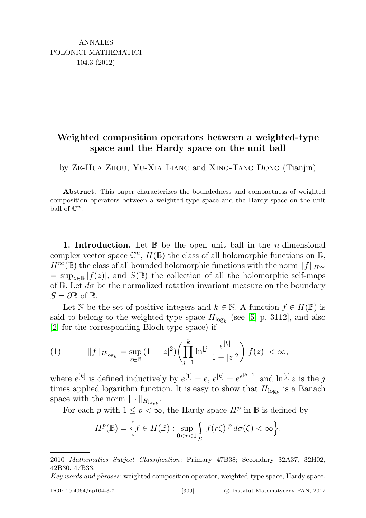## Weighted composition operators between a weighted-type space and the Hardy space on the unit ball

by Ze-Hua Zhou, Yu-Xia Liang and Xing-Tang Dong (Tianjin)

Abstract. This paper characterizes the boundedness and compactness of weighted composition operators between a weighted-type space and the Hardy space on the unit ball of  $\mathbb{C}^n$ .

**1. Introduction.** Let  $\mathbb{B}$  be the open unit ball in the *n*-dimensional complex vector space  $\mathbb{C}^n$ ,  $H(\mathbb{B})$  the class of all holomorphic functions on  $\mathbb{B}$ ,  $H^{\infty}(\mathbb{B})$  the class of all bounded holomorphic functions with the norm  $||f||_{H^{\infty}}$  $=\sup_{z\in\mathbb{B}}|f(z)|$ , and  $S(\mathbb{B})$  the collection of all the holomorphic self-maps of B. Let  $d\sigma$  be the normalized rotation invariant measure on the boundary  $S = \partial \mathbb{B}$  of  $\mathbb{B}$ .

Let N be the set of positive integers and  $k \in \mathbb{N}$ . A function  $f \in H(\mathbb{B})$  is said to belong to the weighted-type space  $H_{\log_k}$  (see [\[5,](#page-9-0) p. 3112], and also [\[2\]](#page-9-1) for the corresponding Bloch-type space) if

<span id="page-0-0"></span>(1) 
$$
||f||_{H_{\log_k}} = \sup_{z \in \mathbb{B}} (1 - |z|^2) \left( \prod_{j=1}^k \ln^{[j]} \frac{e^{[k]}}{1 - |z|^2} \right) |f(z)| < \infty,
$$

where  $e^{[k]}$  is defined inductively by  $e^{[1]} = e$ ,  $e^{[k]} = e^{e^{[k-1]}}$  and  $\ln^{[j]} z$  is the j times applied logarithm function. It is easy to show that  $H_{\log_k}$  is a Banach space with the norm  $\|\cdot\|_{H_{\log_k}}$ .

For each p with  $1 \leq p < \infty$ , the Hardy space  $H^p$  in B is defined by

$$
H^p(\mathbb{B}) = \Big\{ f \in H(\mathbb{B}) : \sup_{0 < r < 1} \int_S |f(r\zeta)|^p \, d\sigma(\zeta) < \infty \Big\}.
$$

<sup>2010</sup> Mathematics Subject Classification: Primary 47B38; Secondary 32A37, 32H02, 42B30, 47B33.

Key words and phrases: weighted composition operator, weighted-type space, Hardy space.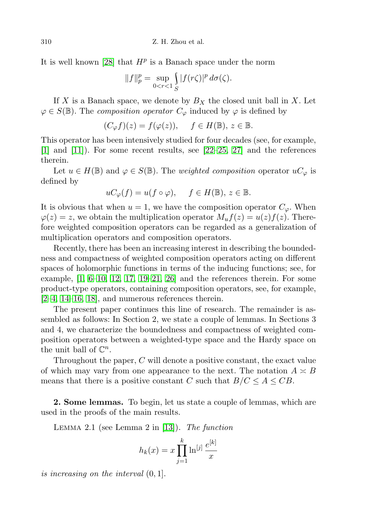It is well known [\[28\]](#page-10-0) that  $H^p$  is a Banach space under the norm

$$
||f||_p^p = \sup_{0 < r < 1} \int_S |f(r\zeta)|^p \, d\sigma(\zeta).
$$

If X is a Banach space, we denote by  $B_X$  the closed unit ball in X. Let  $\varphi \in S(\mathbb{B})$ . The *composition operator*  $C_{\varphi}$  induced by  $\varphi$  is defined by

$$
(C_{\varphi}f)(z) = f(\varphi(z)), \quad f \in H(\mathbb{B}), \ z \in \mathbb{B}.
$$

This operator has been intensively studied for four decades (see, for example, [\[1\]](#page-9-2) and [\[11\]](#page-9-3)). For some recent results, see [\[22–](#page-10-1)[25,](#page-10-2) [27\]](#page-10-3) and the references therein.

Let  $u \in H(\mathbb{B})$  and  $\varphi \in S(\mathbb{B})$ . The *weighted composition* operator  $uC_{\varphi}$  is defined by

$$
uC_{\varphi}(f) = u(f \circ \varphi), \quad f \in H(\mathbb{B}), \ z \in \mathbb{B}.
$$

It is obvious that when  $u = 1$ , we have the composition operator  $C_{\varphi}$ . When  $\varphi(z) = z$ , we obtain the multiplication operator  $M_u f(z) = u(z) f(z)$ . Therefore weighted composition operators can be regarded as a generalization of multiplication operators and composition operators.

Recently, there has been an increasing interest in describing the boundedness and compactness of weighted composition operators acting on different spaces of holomorphic functions in terms of the inducing functions; see, for example,  $\begin{bmatrix} 1, 6-10, 12, 17, 19-21, 26 \end{bmatrix}$  $\begin{bmatrix} 1, 6-10, 12, 17, 19-21, 26 \end{bmatrix}$  $\begin{bmatrix} 1, 6-10, 12, 17, 19-21, 26 \end{bmatrix}$  $\begin{bmatrix} 1, 6-10, 12, 17, 19-21, 26 \end{bmatrix}$  $\begin{bmatrix} 1, 6-10, 12, 17, 19-21, 26 \end{bmatrix}$  $\begin{bmatrix} 1, 6-10, 12, 17, 19-21, 26 \end{bmatrix}$  $\begin{bmatrix} 1, 6-10, 12, 17, 19-21, 26 \end{bmatrix}$  $\begin{bmatrix} 1, 6-10, 12, 17, 19-21, 26 \end{bmatrix}$  and the references therein. For some product-type operators, containing composition operators, see, for example, [\[2–](#page-9-1)[4,](#page-9-7) [14–](#page-10-8)[16,](#page-10-9) [18\]](#page-10-10), and numerous references therein.

The present paper continues this line of research. The remainder is assembled as follows: In Section 2, we state a couple of lemmas. In Sections 3 and 4, we characterize the boundedness and compactness of weighted composition operators between a weighted-type space and the Hardy space on the unit ball of  $\mathbb{C}^n$ .

Throughout the paper, C will denote a positive constant, the exact value of which may vary from one appearance to the next. The notation  $A \simeq B$ means that there is a positive constant C such that  $B/C \leq A \leq CB$ .

2. Some lemmas. To begin, let us state a couple of lemmas, which are used in the proofs of the main results.

LEMMA 2.1 (see Lemma 2 in [\[13\]](#page-10-11)). The function

$$
h_k(x) = x \prod_{j=1}^{k} \ln^{[j]} \frac{e^{[k]}}{x}
$$

is increasing on the interval (0, 1].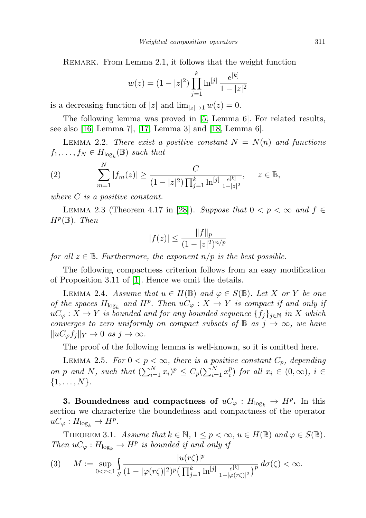REMARK. From Lemma 2.1, it follows that the weight function

$$
w(z) = (1 - |z|^2) \prod_{j=1}^{k} \ln^{[j]} \frac{e^{[k]}}{1 - |z|^2}
$$

is a decreasing function of  $|z|$  and  $\lim_{|z|\to 1} w(z) = 0$ .

The following lemma was proved in [\[5,](#page-9-0) Lemma 6]. For related results, see also [\[16,](#page-10-9) Lemma 7], [\[17,](#page-10-4) Lemma 3] and [\[18,](#page-10-10) Lemma 6].

LEMMA 2.2. There exist a positive constant  $N = N(n)$  and functions  $f_1, \ldots, f_N \in H_{\log_k}(\mathbb{B})$  such that

<span id="page-2-1"></span>(2) 
$$
\sum_{m=1}^{N} |f_m(z)| \geq \frac{C}{(1-|z|^2) \prod_{j=1}^{k} \ln^{[j]} \frac{e^{[k]}}{1-|z|^2}}, \quad z \in \mathbb{B},
$$

where C is a positive constant.

LEMMA 2.3 (Theorem 4.17 in [\[28\]](#page-10-0)). Suppose that  $0 < p < \infty$  and  $f \in$  $H^p(\mathbb{B})$ . Then

$$
|f(z)| \le \frac{\|f\|_p}{(1 - |z|^2)^{n/p}}
$$

for all  $z \in \mathbb{B}$ . Furthermore, the exponent  $n/p$  is the best possible.

The following compactness criterion follows from an easy modification of Proposition 3.11 of [\[1\]](#page-9-2). Hence we omit the details.

LEMMA 2.4. Assume that  $u \in H(\mathbb{B})$  and  $\varphi \in S(\mathbb{B})$ . Let X or Y be one of the spaces  $H_{\log_k}$  and  $H^p$ . Then  $uC_\varphi: X \to Y$  is compact if and only if  $uC_{\varphi}: X \to Y$  is bounded and for any bounded sequence  $\{f_j\}_{j\in\mathbb{N}}$  in X which converges to zero uniformly on compact subsets of  $\mathbb{B}$  as  $j \to \infty$ , we have  $||uC_{\varphi}f_j||_Y \to 0 \text{ as } j \to \infty.$ 

The proof of the following lemma is well-known, so it is omitted here.

LEMMA 2.5. For  $0 < p < \infty$ , there is a positive constant  $C_p$ , depending on p and N, such that  $(\sum_{i=1}^{N} x_i)^p \leq C_p (\sum_{i=1}^{N} x_i^p)$  $i$ <sup>p</sup>) for all  $x_i \in (0, \infty)$ ,  $i \in$  $\{1,\ldots,N\}.$ 

3. Boundedness and compactness of  $uC_{\varphi}: H_{\log_k} \to H^p$ . In this section we characterize the boundedness and compactness of the operator  $\mathrm{u}C_{\varphi}:H_{\mathrm{log}_k}\to H^p.$ 

THEOREM 3.1. Assume that  $k \in \mathbb{N}$ ,  $1 \leq p < \infty$ ,  $u \in H(\mathbb{B})$  and  $\varphi \in S(\mathbb{B})$ . Then  $uC_{\varphi}: H_{\log_k} \to H^p$  is bounded if and only if

<span id="page-2-0"></span>
$$
(3) \qquad M := \sup_{0 < r < 1} \int_{S} \frac{|u(r\zeta)|^p}{(1 - |\varphi(r\zeta)|^2)^p \left(\prod_{j=1}^k \ln^{[j]} \frac{e^{[k]}}{1 - |\varphi(r\zeta)|^2}\right)^p} \, d\sigma(\zeta) < \infty.
$$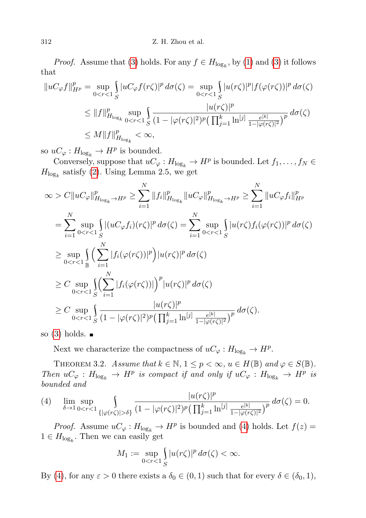*Proof.* Assume that [\(3\)](#page-2-0) holds. For any  $f \in H_{\log_k}$ , by [\(1\)](#page-0-0) and (3) it follows that

$$
||uc_{\varphi}f||_{H^{p}}^{p} = \sup_{0 < r < 1} \int_{S} |uc_{\varphi}f(r\zeta)|^{p} d\sigma(\zeta) = \sup_{0 < r < 1} \int_{S} |u(r\zeta)|^{p} |f(\varphi(r\zeta))|^{p} d\sigma(\zeta)
$$
\n
$$
\leq ||f||_{H_{\log_{k}}}^{p} \sup_{0 < r < 1} \int_{S} \frac{|u(r\zeta)|^{p}}{(1 - |\varphi(r\zeta)|^{2})^{p} \left(\prod_{j=1}^{k} \ln^{|j|} \frac{e^{[k]}}{1 - |\varphi(r\zeta)|^{2}}\right)^{p}} d\sigma(\zeta)
$$
\n
$$
\leq M ||f||_{H_{\log_{k}}}^{p} < \infty,
$$

so  $uC_{\varphi}: H_{\log_k} \to H^p$  is bounded.

Conversely, suppose that  $uC_{\varphi}: H_{\log_k} \to H^p$  is bounded. Let  $f_1, \ldots, f_N \in$  $H_{\log_k}$  satisfy [\(2\)](#page-2-1). Using Lemma 2.5, we get

$$
\infty > C \| uC_{\varphi} \|_{H_{\log_k} \to H^p}^p \ge \sum_{i=1}^N \| f_i \|_{H_{\log_k}}^p \| uC_{\varphi} \|_{H_{\log_k} \to H^p}^p \ge \sum_{i=1}^N \| uC_{\varphi} f_i \|_{H^p}^p
$$
  
\n
$$
= \sum_{i=1}^N \sup_{0 < r < 1} \int_{S} |(uC_{\varphi} f_i)(r\zeta)|^p d\sigma(\zeta) = \sum_{i=1}^N \sup_{0 < r < 1} \int_{S} |u(r\zeta) f_i(\varphi(r\zeta))|^p d\sigma(\zeta)
$$
  
\n
$$
\ge \sup_{0 < r < 1} \int_{\mathbb{B}} \Big( \sum_{i=1}^N |f_i(\varphi(r\zeta))|^p \Big) |u(r\zeta)|^p d\sigma(\zeta)
$$
  
\n
$$
\ge C \sup_{0 < r < 1} \int_{S} \Big( \sum_{i=1}^N |f_i(\varphi(r\zeta))| \Big)^p |u(r\zeta)|^p d\sigma(\zeta)
$$
  
\n
$$
\ge C \sup_{0 < r < 1} \int_{S} \frac{|u(r\zeta)|^p}{(1 - |\varphi(r\zeta)|^2)^p (\prod_{j=1}^k \ln^{[j]} \frac{e^{[k]}}{1 - |\varphi(r\zeta)|^2})^p} d\sigma(\zeta).
$$

so  $(3)$  holds.  $\blacksquare$ 

Next we characterize the compactness of  $uC_\varphi: H_{\log_k} \to H^p$ .

THEOREM 3.2. Assume that  $k \in \mathbb{N}$ ,  $1 \leq p < \infty$ ,  $u \in H(\mathbb{B})$  and  $\varphi \in S(\mathbb{B})$ . Then  $uC_{\varphi}: H_{\log_k} \to H^p$  is compact if and only if  $uC_{\varphi}: H_{\log_k} \to H^p$  is bounded and

<span id="page-3-0"></span>(4) 
$$
\lim_{\delta \to 1} \sup_{0 < r < 1} \int_{\{|\varphi(r\zeta)| > \delta\}} \frac{|u(r\zeta)|^p}{(1 - |\varphi(r\zeta)|^2)^p \left(\prod_{j=1}^k \ln^{[j]} \frac{e^{[k]}}{1 - |\varphi(r\zeta)|^2}\right)^p} d\sigma(\zeta) = 0.
$$

*Proof.* Assume  $uC_{\varphi}: H_{\log_k} \to H^p$  is bounded and [\(4\)](#page-3-0) holds. Let  $f(z) =$  $1 \in H_{\log_k}$ . Then we can easily get

$$
M_1 := \sup_{0 < r < 1} \int_S |u(r\zeta)|^p \, d\sigma(\zeta) < \infty.
$$

By [\(4\)](#page-3-0), for any  $\varepsilon > 0$  there exists a  $\delta_0 \in (0,1)$  such that for every  $\delta \in (\delta_0,1)$ ,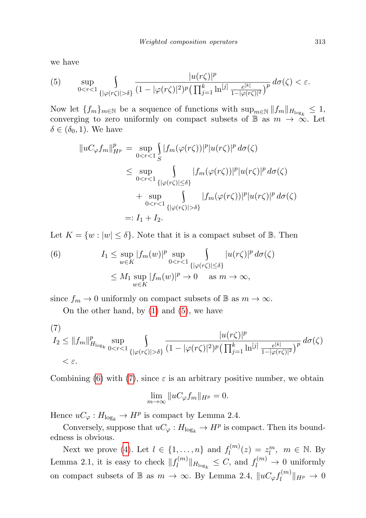we have

<span id="page-4-0"></span>(5) 
$$
\sup_{0 < r < 1} \int_{\{|\varphi(r\zeta)| > \delta\}} \frac{|u(r\zeta)|^p}{(1 - |\varphi(r\zeta)|^2)^p \left(\prod_{j=1}^k \ln^{[j]} \frac{e^{[k]}}{1 - |\varphi(r\zeta)|^2}\right)^p} d\sigma(\zeta) < \varepsilon.
$$

Now let  $\{f_m\}_{m\in\mathbb{N}}$  be a sequence of functions with  $\sup_{m\in\mathbb{N}}||f_m||_{H_{\log_k}} \leq 1$ , converging to zero uniformly on compact subsets of B as  $m \to \infty$ . Let  $\delta \in (\delta_0, 1)$ . We have

$$
||uc\varphi f_m||_{H^p}^p = \sup_{0 < r < 1} \int_S |f_m(\varphi(r\zeta))|^p |u(r\zeta)|^p d\sigma(\zeta)
$$
\n
$$
\leq \sup_{0 < r < 1} \int_{\{|\varphi(r\zeta)| \leq \delta\}} |f_m(\varphi(r\zeta))|^p |u(r\zeta)|^p d\sigma(\zeta)
$$
\n
$$
+ \sup_{0 < r < 1} \int_{\{|\varphi(r\zeta)| > \delta\}} |f_m(\varphi(r\zeta))|^p |u(r\zeta)|^p d\sigma(\zeta)
$$
\n
$$
=: I_1 + I_2.
$$

Let  $K = \{w : |w| \leq \delta\}$ . Note that it is a compact subset of  $\mathbb{B}$ . Then

(6) 
$$
I_1 \leq \sup_{w \in K} |f_m(w)|^p \sup_{0 < r < 1} \int_{\{|\varphi(r\zeta)| \leq \delta\}} |u(r\zeta)|^p d\sigma(\zeta)
$$

$$
\leq M_1 \sup_{w \in K} |f_m(w)|^p \to 0 \quad \text{as } m \to \infty,
$$

since  $f_m \to 0$  uniformly on compact subsets of B as  $m \to \infty$ .

On the other hand, by  $(1)$  and  $(5)$ , we have

(7)  
\n
$$
I_2 \le ||f_m||^p_{H_{\log_k}} \sup_{0 < r < 1} \int_{\{|\varphi(r\zeta)| > \delta\}} \frac{|u(r\zeta)|^p}{(1 - |\varphi(r\zeta)|^2)^p (\prod_{j=1}^k \ln^{[j]} \frac{e^{[k]}}{1 - |\varphi(r\zeta)|^2})^p} d\sigma(\zeta)
$$
\n
$$
< \varepsilon.
$$

Combining [\(6\)](#page-4-0) with [\(7\)](#page-4-0), since  $\varepsilon$  is an arbitrary positive number, we obtain

$$
\lim_{m \to \infty} \| uC_{\varphi} f_m \|_{H^p} = 0.
$$

Hence  $uC_{\varphi}: H_{\log_k} \to H^p$  is compact by Lemma 2.4.

Conversely, suppose that  $uC_{\varphi}: H_{\log_k} \to H^p$  is compact. Then its boundedness is obvious.

Next we prove [\(4\)](#page-3-0). Let  $l \in \{1, \ldots, n\}$  and  $f_l^{(m)}$  $l_l^{(m)}(z) = z_l^m, \ \ m \in \mathbb{N}.$  By Lemma 2.1, it is easy to check  $||f_l^{(m)}||$  $\|f^{(m)}_l\|_{H_{\log_k}} \leq C$ , and  $f^{(m)}_l \to 0$  uniformly on compact subsets of  $\mathbb B$  as  $m \to \infty$ . By Lemma 2.4,  $\|uC_\varphi f_l^{(m)}\|$  $\Vert u^{(m)}\Vert_{H^p} \to 0$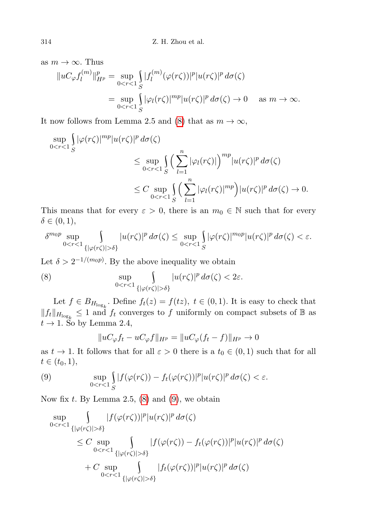as  $m \to \infty$ . Thus

$$
||uC_{\varphi}f_l^{(m)}||_{H^p}^p = \sup_{0 < r < 1} \int_S |f_l^{(m)}(\varphi(r\zeta))|^p |u(r\zeta)|^p \, d\sigma(\zeta)
$$
\n
$$
= \sup_{0 < r < 1} \int_S |\varphi_l(r\zeta)|^{mp} |u(r\zeta)|^p \, d\sigma(\zeta) \to 0 \quad \text{as } m \to \infty.
$$

It now follows from Lemma 2.5 and [\(8\)](#page-4-0) that as  $m \to \infty$ ,

$$
\sup_{0 < r < 1} \int_{S} |\varphi(r\zeta)|^{mp} |u(r\zeta)|^p \, d\sigma(\zeta)
$$
\n
$$
\leq \sup_{0 < r < 1} \int_{S} \left( \sum_{l=1}^n |\varphi_l(r\zeta)| \right)^{mp} |u(r\zeta)|^p \, d\sigma(\zeta)
$$
\n
$$
\leq C \sup_{0 < r < 1} \int_{S} \left( \sum_{l=1}^n |\varphi_l(r\zeta)|^{mp} \right) |u(r\zeta)|^p \, d\sigma(\zeta) \to 0.
$$

This means that for every  $\varepsilon > 0$ , there is an  $m_0 \in \mathbb{N}$  such that for every  $\delta \in (0,1),$ 

$$
\delta^{m_0p}\sup_{0\delta\}}|u(r\zeta)|^p\,d\sigma(\zeta)\leq \sup_{0
$$

Let  $\delta > 2^{-1/(m_0 p)}$ . By the above inequality we obtain

(8) 
$$
\sup_{0 < r < 1} \int_{\{|\varphi(r\zeta)| > \delta\}} |u(r\zeta)|^p d\sigma(\zeta) < 2\varepsilon.
$$

Let  $f \in B_{H_{\log_k}}$ . Define  $f_t(z) = f(tz)$ ,  $t \in (0,1)$ . It is easy to check that  $||f_t||_{H_{\log_k}} \leq 1$  and  $f_t$  converges to f uniformly on compact subsets of B as  $t \rightarrow 1$ . So by Lemma 2.4,

<span id="page-5-1"></span><span id="page-5-0"></span>
$$
||uc_{\varphi}f_t - uc_{\varphi}f||_{H^p} = ||uc_{\varphi}(f_t - f)||_{H^p} \to 0
$$

as  $t \to 1$ . It follows that for all  $\varepsilon > 0$  there is a  $t_0 \in (0,1)$  such that for all  $t \in (t_0, 1),$ 

(9) 
$$
\sup_{0 \leq r \leq 1} \int_{S} |f(\varphi(r\zeta)) - f_t(\varphi(r\zeta))|^p |u(r\zeta)|^p d\sigma(\zeta) < \varepsilon.
$$

Now fix  $t$ . By Lemma 2.5,  $(8)$  and  $(9)$ , we obtain

$$
\sup_{0 < r < 1} \int_{\{|\varphi(r\zeta)| > \delta\}} |f(\varphi(r\zeta))|^p |u(r\zeta)|^p d\sigma(\zeta)
$$
\n
$$
\leq C \sup_{0 < r < 1} \int_{\{|\varphi(r\zeta)| > \delta\}} |f(\varphi(r\zeta)) - f_t(\varphi(r\zeta))|^p |u(r\zeta)|^p d\sigma(\zeta)
$$
\n
$$
+ C \sup_{0 < r < 1} \int_{\{|\varphi(r\zeta)| > \delta\}} |f_t(\varphi(r\zeta))|^p |u(r\zeta)|^p d\sigma(\zeta)
$$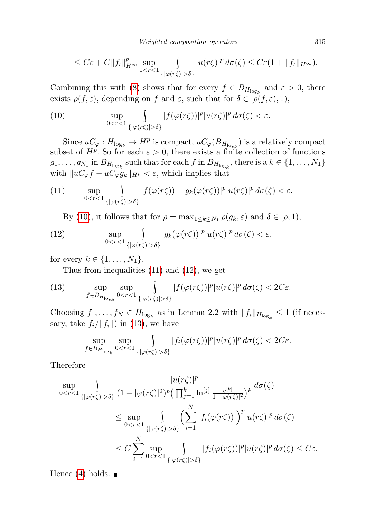$$
\leq C\varepsilon + C||f_t||_{H^{\infty}}^p \sup_{0 < r < 1} \int_{\{|\varphi(r\zeta)| > \delta\}} |u(r\zeta)|^p \, d\sigma(\zeta) \leq C\varepsilon (1 + ||f_t||_{H^{\infty}}).
$$

Combining this with [\(8\)](#page-5-0) shows that for every  $f \in B_{H_{\log_k}}$  and  $\varepsilon > 0$ , there exists  $\rho(f,\varepsilon)$ , depending on f and  $\varepsilon$ , such that for  $\delta \in [\rho(f,\varepsilon),1)$ ,

<span id="page-6-0"></span>(10) 
$$
\sup_{0 < r < 1} \int_{\{|\varphi(r\zeta)| > \delta\}} |f(\varphi(r\zeta))|^p |u(r\zeta)|^p d\sigma(\zeta) < \varepsilon.
$$

Since  $uC_{\varphi}: H_{\log_k} \to H^p$  is compact,  $uC_{\varphi}(B_{H_{\log_k}})$  is a relatively compact subset of  $H^p$ . So for each  $\varepsilon > 0$ , there exists a finite collection of functions  $g_1, \ldots, g_{N_1}$  in  $B_{H_{\log_k}}$  such that for each f in  $B_{H_{\log_k}}$ , there is a  $k \in \{1, \ldots, N_1\}$ with  $||uC_{\varphi}f - uC_{\varphi}g_k||_{H^p} < \varepsilon$ , which implies that

<span id="page-6-1"></span>(11) 
$$
\sup_{0 < r < 1} \int_{\{|\varphi(r\zeta)| > \delta\}} |f(\varphi(r\zeta)) - g_k(\varphi(r\zeta))|^p |u(r\zeta)|^p d\sigma(\zeta) < \varepsilon.
$$

<span id="page-6-2"></span>By [\(10\)](#page-6-0), it follows that for  $\rho = \max_{1 \leq k \leq N_1} \rho(g_k, \varepsilon)$  and  $\delta \in [\rho, 1)$ ,

(12) 
$$
\sup_{0 \le r \le 1} \int_{\{|\varphi(r\zeta)| > \delta\}} |g_k(\varphi(r\zeta))|^p |u(r\zeta)|^p d\sigma(\zeta) < \varepsilon,
$$

for every  $k \in \{1, \ldots, N_1\}.$ 

<span id="page-6-3"></span>Thus from inequalities [\(11\)](#page-6-1) and [\(12\)](#page-6-2), we get

(13) 
$$
\sup_{f \in B_{H_{\log_k}}} \sup_{0 < r < 1} \int_{\{|\varphi(r\zeta)| > \delta\}} |f(\varphi(r\zeta))|^p |u(r\zeta)|^p d\sigma(\zeta) < 2C\varepsilon.
$$

Choosing  $f_1, \ldots, f_N \in H_{\log_k}$  as in Lemma 2.2 with  $||f_i||_{H_{\log_k}} \leq 1$  (if necessary, take  $f_i/\|f_i\|$  in [\(13\)](#page-6-3), we have

$$
\sup_{f\in B_{H_{\log_k}}}\sup_{0\delta\}}|f_i(\varphi(r\zeta))|^p|u(r\zeta)|^p\,d\sigma(\zeta)<2C\varepsilon.
$$

Therefore

$$
\sup_{0 < r < 1} \int_{\{|\varphi(r\zeta)| > \delta\}} \frac{|u(r\zeta)|^p}{(1 - |\varphi(r\zeta)|^2)^p (\prod_{j=1}^k \ln^{[j]} \frac{e^{[k]}}{1 - |\varphi(r\zeta)|^2})^p} d\sigma(\zeta)
$$
\n
$$
\leq \sup_{0 < r < 1} \int_{\{|\varphi(r\zeta)| > \delta\}} \left(\sum_{i=1}^N |f_i(\varphi(r\zeta))|\right)^p |u(r\zeta)|^p d\sigma(\zeta)
$$
\n
$$
\leq C \sum_{i=1}^N \sup_{0 < r < 1} \int_{\{|\varphi(r\zeta)| > \delta\}} |f_i(\varphi(r\zeta))|^p |u(r\zeta)|^p d\sigma(\zeta) \leq C\varepsilon.
$$

Hence [\(4\)](#page-3-0) holds.  $\blacksquare$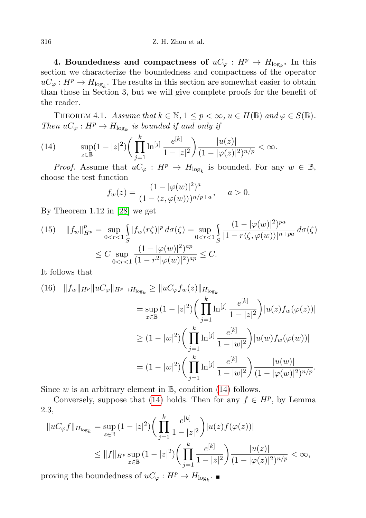4. Boundedness and compactness of  $uC_{\varphi}: H^p \to H_{\log_k}$ . In this section we characterize the boundedness and compactness of the operator  $uC_\varphi: H^p \to H_{\log_k}$ . The results in this section are somewhat easier to obtain than those in Section 3, but we will give complete proofs for the benefit of the reader.

THEOREM 4.1. Assume that  $k \in \mathbb{N}$ ,  $1 \leq p < \infty$ ,  $u \in H(\mathbb{B})$  and  $\varphi \in S(\mathbb{B})$ . Then  $uC_{\varphi}: H^p \to H_{\log_k}$  is bounded if and only if

<span id="page-7-0"></span>(14) 
$$
\sup_{z \in \mathbb{B}} (1-|z|^2) \bigg( \prod_{j=1}^k \ln^{[j]} \frac{e^{[k]}}{1-|z|^2} \bigg) \frac{|u(z)|}{(1-|\varphi(z)|^2)^{n/p}} < \infty.
$$

*Proof.* Assume that  $uC_{\varphi}: H^p \to H_{\log_k}$  is bounded. For any  $w \in \mathbb{B}$ , choose the test function

$$
f_w(z) = \frac{(1 - |\varphi(w)|^2)^a}{(1 - \langle z, \varphi(w) \rangle)^{n/p+a}}, \quad a > 0.
$$

By Theorem 1.12 in [\[28\]](#page-10-0) we get

<span id="page-7-1"></span>(15) 
$$
||f_w||_{H^p}^p = \sup_{0 < r < 1} \int_S |f_w(r\zeta)|^p \, d\sigma(\zeta) = \sup_{0 < r < 1} \int_S \frac{(1 - |\varphi(w)|^2)^{p a}}{|1 - r\langle \zeta, \varphi(w) \rangle|^{n + pa}} \, d\sigma(\zeta)
$$
\n
$$
\leq C \sup_{0 < r < 1} \frac{(1 - |\varphi(w)|^2)^{a p}}{(1 - r^2 |\varphi(w)|^2)^{a p}} \leq C.
$$

It follows that

<span id="page-7-2"></span>(16) 
$$
||f_w||_{H^p} ||uC_{\varphi}||_{H^p \to H_{\log_k}} \ge ||uC_{\varphi} f_w(z)||_{H_{\log_k}}
$$
  
\n
$$
= \sup_{z \in \mathbb{B}} (1 - |z|^2) \bigg( \prod_{j=1}^k \ln^{[j]} \frac{e^{[k]}}{1 - |z|^2} \bigg) |u(z)f_w(\varphi(z))|
$$
  
\n
$$
\ge (1 - |w|^2) \bigg( \prod_{j=1}^k \ln^{[j]} \frac{e^{[k]}}{1 - |w|^2} \bigg) |u(w)f_w(\varphi(w))|
$$
  
\n
$$
= (1 - |w|^2) \bigg( \prod_{j=1}^k \ln^{[j]} \frac{e^{[k]}}{1 - |w|^2} \bigg) \frac{|u(w)|}{(1 - |\varphi(w)|^2)^{n/p}}.
$$

Since w is an arbitrary element in  $\mathbb{B}$ , condition [\(14\)](#page-7-0) follows.

Conversely, suppose that [\(14\)](#page-7-0) holds. Then for any  $f \in H^p$ , by Lemma 2.3,

$$
||uc_{\varphi}f||_{H_{\log_k}} = \sup_{z \in \mathbb{B}} (1 - |z|^2) \left( \prod_{j=1}^k \frac{e^{[k]}}{1 - |z|^2} \right) |u(z)f(\varphi(z))|
$$
  

$$
\leq ||f||_{H^p} \sup_{z \in \mathbb{B}} (1 - |z|^2) \left( \prod_{j=1}^k \frac{e^{[k]}}{1 - |z|^2} \right) \frac{|u(z)|}{(1 - |\varphi(z)|^2)^{n/p}} < \infty,
$$

proving the boundedness of  $uC_\varphi: H^p \to H_{\log_k}$ .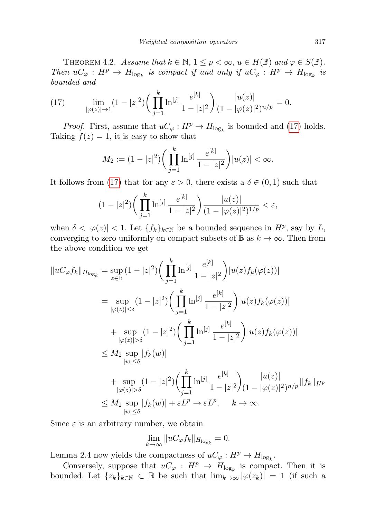THEOREM 4.2. Assume that  $k \in \mathbb{N}$ ,  $1 \leq p < \infty$ ,  $u \in H(\mathbb{B})$  and  $\varphi \in S(\mathbb{B})$ . Then  $uC_{\varphi}: H^p \to H_{\log_k}$  is compact if and only if  $uC_{\varphi}: H^p \to H_{\log_k}$  is bounded and

<span id="page-8-0"></span>(17) 
$$
\lim_{|\varphi(z)| \to 1} (1 - |z|^2) \left( \prod_{j=1}^k \ln^{[j]} \frac{e^{[k]}}{1 - |z|^2} \right) \frac{|u(z)|}{(1 - |\varphi(z)|^2)^{n/p}} = 0.
$$

*Proof.* First, assume that  $uC_{\varphi}: H^p \to H_{\log_k}$  is bounded and [\(17\)](#page-8-0) holds. Taking  $f(z) = 1$ , it is easy to show that

$$
M_2 := (1 - |z|^2) \bigg( \prod_{j=1}^k \ln^{[j]} \frac{e^{[k]}}{1 - |z|^2} \bigg) |u(z)| < \infty.
$$

It follows from [\(17\)](#page-8-0) that for any  $\varepsilon > 0$ , there exists a  $\delta \in (0,1)$  such that

$$
(1-|z|^2)\bigg(\prod_{j=1}^k\ln^{[j]}\frac{e^{[k]}}{1-|z|^2}\bigg)\frac{|u(z)|}{(1-|\varphi(z)|^2)^{1/p}}<\varepsilon,
$$

when  $\delta < |\varphi(z)| < 1$ . Let  $\{f_k\}_{k \in \mathbb{N}}$  be a bounded sequence in  $H^p$ , say by L, converging to zero uniformly on compact subsets of  $\mathbb{B}$  as  $k \to \infty$ . Then from the above condition we get

$$
||uc_{\varphi} f_k||_{H_{\log_k}} = \sup_{z \in \mathbb{B}} (1 - |z|^2) \Big( \prod_{j=1}^k \ln^{[j]} \frac{e^{[k]}}{1 - |z|^2} \Big) |u(z) f_k(\varphi(z))|
$$
  
\n
$$
= \sup_{|\varphi(z)| \le \delta} (1 - |z|^2) \Big( \prod_{j=1}^k \ln^{[j]} \frac{e^{[k]}}{1 - |z|^2} \Big) |u(z) f_k(\varphi(z))|
$$
  
\n
$$
+ \sup_{|\varphi(z)| > \delta} (1 - |z|^2) \Big( \prod_{j=1}^k \ln^{[j]} \frac{e^{[k]}}{1 - |z|^2} \Big) |u(z) f_k(\varphi(z))|
$$
  
\n
$$
\le M_2 \sup_{|w| \le \delta} |f_k(w)|
$$
  
\n
$$
+ \sup_{|\varphi(z)| > \delta} (1 - |z|^2) \Big( \prod_{j=1}^k \ln^{[j]} \frac{e^{[k]}}{1 - |z|^2} \Big) \frac{|u(z)|}{(1 - |\varphi(z)|^2)^{n/p}} ||f_k||_{H^p}
$$
  
\n
$$
\le M_2 \sup_{|w| \le \delta} |f_k(w)| + \varepsilon L^p \to \varepsilon L^p, \quad k \to \infty.
$$

Since  $\varepsilon$  is an arbitrary number, we obtain

$$
\lim_{k \to \infty} \| uC_{\varphi} f_k \|_{H_{\log_k}} = 0.
$$

Lemma 2.4 now yields the compactness of  $uC_\varphi : H^p \to H_{\log_k}$ .

Conversely, suppose that  $uC_\varphi : H^p \to H_{\log_k}$  is compact. Then it is bounded. Let  $\{z_k\}_{k\in\mathbb{N}}\subset\mathbb{B}$  be such that  $\lim_{k\to\infty}|\varphi(z_k)|=1$  (if such a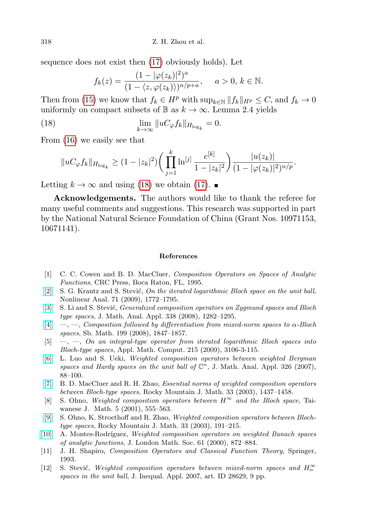sequence does not exist then [\(17\)](#page-8-0) obviously holds). Let

<span id="page-9-8"></span>
$$
f_k(z) = \frac{(1 - |\varphi(z_k)|^2)^a}{(1 - \langle z, \varphi(z_k) \rangle)^{n/p+a}}, \quad a > 0, k \in \mathbb{N}.
$$

Then from [\(15\)](#page-7-1) we know that  $f_k \in H^p$  with  $\sup_{k \in \mathbb{N}} ||f_k||_{H^p} \leq C$ , and  $f_k \to 0$ uniformly on compact subsets of  $\mathbb{B}$  as  $k \to \infty$ . Lemma 2.4 yields

(18) 
$$
\lim_{k \to \infty} \| uC_{\varphi} f_k \|_{H_{\log_k}} = 0.
$$

From [\(16\)](#page-7-2) we easily see that

$$
||uc_{\varphi} f_k||_{H_{\log_k}} \ge (1-|z_k|^2) \bigg( \prod_{j=1}^k \ln^{[j]} \frac{e^{[k]}}{1-|z_k|^2} \bigg) \frac{|u(z_k)|}{(1-|\varphi(z_k)|^2)^{n/p}}.
$$

Letting  $k \to \infty$  and using [\(18\)](#page-9-8) we obtain [\(17\)](#page-8-0). ■

Acknowledgements. The authors would like to thank the referee for many useful comments and suggestions. This research was supported in part by the National Natural Science Foundation of China (Grant Nos. 10971153, 10671141).

## References

- <span id="page-9-2"></span>[1] C. C. Cowen and B. D. MacCluer, Composition Operators on Spaces of Analytic Functions, CRC Press, Boca Raton, FL, 1995.
- <span id="page-9-1"></span>[\[2\]](http://dx.doi.org/10.1016/j.na.2009.01.013) S. G. Krantz and S. Stević, On the iterated logarithmic Bloch space on the unit ball, Nonlinear Anal. 71 (2009), 1772–1795.
- [\[3\]](http://dx.doi.org/10.1016/j.jmaa.2007.06.013) S. Li and S. Stević, *Generalized composition operators on Zygmund spaces and Bloch* type spaces, J. Math. Anal. Appl. 338 (2008), 1282–1295.
- <span id="page-9-7"></span> $[4] \quad -, [4] \quad -,-$ , Composition followed by differentiation from mixed-norm spaces to  $\alpha$ -Bloch spaces, Sb. Math. 199 (2008), 1847–1857.
- <span id="page-9-0"></span> $[5] \quad -$ ,  $\quad$ ,  $\quad$ ,  $\quad$  on an integral-type operator from iterated logarithmic Bloch spaces into Bloch-type spaces, Appl. Math. Comput. 215 (2009), 3106-3-115.
- <span id="page-9-4"></span>[\[6\]](http://dx.doi.org/10.1016/j.jmaa.2006.02.038) L. Luo and S. Ueki, Weighted composition operators between weighted Bergman spaces and Hardy spaces on the unit ball of  $\mathbb{C}^n$ , J. Math. Anal. Appl. 326 (2007), 88–100.
- [\[7\]](http://dx.doi.org/10.1216/rmjm/1181075473) B. D. MacCluer and R. H. Zhao, Essential norms of weighted composition operators between Bloch-type spaces, Rocky Mountain J. Math. 33 (2003), 1437–1458.
- [8] S. Ohno, Weighted composition operators between  $H^{\infty}$  and the Bloch space, Taiwanese J. Math. 5 (2001), 555–563.
- [\[9\]](http://dx.doi.org/10.1216/rmjm/1181069993) S. Ohno, K. Stroethoff and R. Zhao, Weighted composition operators between Blochtype spaces, Rocky Mountain J. Math. 33 (2003), 191–215.
- <span id="page-9-5"></span>[\[10\]](http://dx.doi.org/10.1112/S0024610700008875) A. Montes-Rodríguez, Weighted composition operators on weighted Banach spaces of analytic functions, J. London Math. Soc. 61 (2000), 872–884.
- <span id="page-9-3"></span>[11] J. H. Shapiro, Composition Operators and Classical Function Theory, Springer, 1993.
- <span id="page-9-6"></span>[12] S. Stević, Weighted composition operators between mixed-norm spaces and  $H_{\alpha}^{\infty}$ spaces in the unit ball, J. Inequal. Appl. 2007, art. ID 28629, 9 pp.